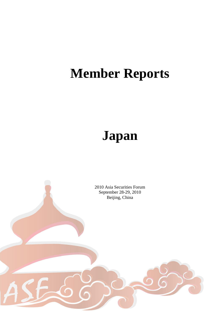# **Member Reports**

# **Japan**

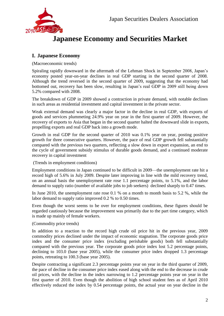

# **Japanese Economy and Securities Market**

# **I. Japanese Economy**

(Macroeconomic trends)

Spiraling rapidly downward in the aftermath of the Lehman Shock in September 2008, Japan's economy posted year-on-year declines in real GDP starting in the second quarter of 2008. Although the trend reversed in the second quarter of 2009, suggesting that the economy had bottomed out, recovery has been slow, resulting in Japan's real GDP in 2009 still being down 5.2% compared with 2008.

The breakdown of GDP in 2009 showed a contraction in private demand, with notable declines in such areas as residential investment and capital investment in the private sector.

Weak external demand was clearly a major factor in the decline in real GDP, with exports of goods and services plummeting 24.9% year on year in the first quarter of 2009. However, the recovery of exports to Asia that began in the second quarter halted the downward slide in exports, propelling exports and real GDP back into a growth mode.

Growth in real GDP for the second quarter of 2010 was 0.1% year on year, posting positive growth for three consecutive quarters. However, the pace of real GDP growth fell substantially compared with the previous two quarters, reflecting a slow down in export expansion, an end to the cycle of government subsidy stimulus of durable goods demand, and a continued moderate recovery in capital investment

(Trends in employment conditions)

Employment conditions in Japan continued to be difficult in 2009—the unemployment rate hit a record high of 5.6% in July 2009. Despite later improving in line with the mild recovery trend, on an annual basis the unemployment rate rose 1.1 percentage points, to 5.1%, and the labor demand to supply ratio (number of available jobs to job seekers) declined sharply to 0.47 times.

In June 2010, the unemployment rate rose 0.1 % on a month to month basis to 5.2 %, while the labor demand to supply ratio improved 0.2 % to 0.50 times.

Even though the worst seems to be over for employment conditions, these figures should be regarded cautiously because the improvement was primarily due to the part time category, which is made up mainly of female workers.

(Commodity price trends)

In addition to a reaction to the record high crude oil price hit in the previous year, 2009 commodity prices declined under the impact of economic stagnation. The corporate goods price index and the consumer price index (excluding perishable goods) both fell substantially compared with the previous year. The corporate goods price index lost 5.2 percentage points, declining to 103.0 (base year 2005), while the consumer price index dropped 1.3 percentage points, retreating to 100.3 (base year 2005).

Despite contracting a significant 2.3 percentage points year on year in the third quarter of 2009, the pace of decline in the consumer price index eased along with the end to the decrease in crude oil prices, with the decline in the index narrowing to 1.2 percentage points year on year in the first quarter of 2010. Even though the abolition of high school student fees as of April 2010 effectively reduced the index by 0.54 percentage points, the actual year on year decline in the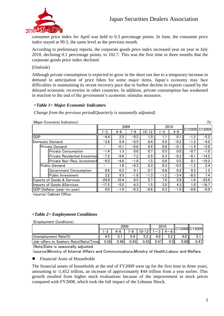

consumer price index for April was held to 0.3 percentage points. In June, the consumer price index stayed at 99.3, the same level as the previous month.

According to preliminary reports, the corporate goods price index increased year on year in July 2010, declining 0.1 percentage points, to 102.7. This was the first time in three months that the corporate goods price index declined.

(Outlook)

Although private consumption is expected to grow in the short run due to a temporary increase in demand in anticipation of price hikes for some major items, Japan's economy may face difficulties in maintaining its recent recovery pace due to further decline in exports caused by the delayed economic recoveries in other countries. In addition, private consumption has weakened in reaction to the end of the government's economic stimulus measures.

#### *<Table 1> Major Economic Indicators*

*Change from the previous period(Quarterly is seasonally adjusted)*

|                                        |  | (Major Economic Indicators)   |         |         |         |           |         |         |        | $(\%)$        |
|----------------------------------------|--|-------------------------------|---------|---------|---------|-----------|---------|---------|--------|---------------|
|                                        |  |                               |         | 2009    |         |           | 2010    |         |        | CY2008 CY2009 |
|                                        |  |                               | $-3$    | $4 - 6$ | $7 - 9$ | $10 - 12$ | $1 - 3$ | $4 - 6$ |        |               |
| <b>GDP</b>                             |  |                               | $-4.4$  | 2.5     | $-0.3$  | 1.0       |         | 0.1     | $-1.2$ | $-5.2$        |
| Domestic Demand                        |  |                               | $-3.6$  | 0.4     | $-0.5$  | 0.4       | 0.5     | $-0.2$  | $-1.3$ | $-4.0$        |
| <b>Private Demand</b>                  |  |                               |         | $-0.1$  | $-0.6$  | 0.4       | 0.6     | $-0.1$  | $-1.4$ | $-5.8$        |
|                                        |  | <b>Private Consumption</b>    | $-1.4$  | 1.3     | 0.6     | 0.7       | 0.5     | 0.0     | $-0.7$ | $-1.0$        |
|                                        |  | Private Residential Investmer | $-7.2$  | $-9.6$  | $-7.2$  | $-2.9$    | 0.3     | $-0.3$  | $-8.1$ | $-14.2$       |
|                                        |  | Private Non-Resi. Investment  | $-9.0$  | $-4.8$  | $-1.8$  | 1.5       | 0.6     | 0.5     | 0.1    | $-19.2$       |
|                                        |  | Public Demand                 |         | 1.8     | $-0.3$  | 0.3       | 0.3     | $-0.5$  | $-1.2$ | 2.4           |
|                                        |  | Government Consumption        | 0.6     | 0.2     | 0.1     | 0.7       | 0.6     | 0.2     | 0.3    | 1.5           |
|                                        |  | Public Investment             | 3.2     | 9.5     | $-1.8$  | $-1.3$    | $-1.2$  | $-3.4$  | $-8.5$ | 7.4           |
| <b>Exports of Goods &amp; Services</b> |  |                               | $-24.9$ | 10.4    | 8.5     | 5.7       | 7.0     | 5.9     | 1.6    | $-23.9$       |
| Imports of Goods & Services            |  |                               | $-17.5$ | $-5.0$  | 6.3     | 1.5       | 3.0     | 4.3     | 1.0    | $-16.7$       |
|                                        |  | GDP Deflator (year-to-year)   | 0.0     | $-1.9$  | $-0.3$  | $-0.6$    | 0.3     | $-1.0$  | $-0.8$ | $-0.9$        |

(source) Cabinet Office

#### *<Table 2> Employment Conditions*

(Employment Conditions)

|                                        | 2009 |           |           |        | 2010 |     |      | CY2008  CY2009 |  |
|----------------------------------------|------|-----------|-----------|--------|------|-----|------|----------------|--|
|                                        |      | $-6$      | $-\Omega$ | ا 1∿–1 |      |     |      |                |  |
| Unemployment Rate(%)                   | 4.5  | Б.<br>J.I | 5.4       | 5.2    | 4.9  |     | 4.U  | 5.             |  |
| Job-offers to Seekers Ratio(Ratio(Time | 0.58 | 0.46      | 0.43      | 0.43   |      | 0.5 | 0.88 | 0.47           |  |

(Note)Date is seasonally adjusted.

(source)Ministry of Internal Affairs and Communications,Ministry of Health,Labour and Welfare

Financial Assts of Households

The financial assets of households at the end of FY2009 were up for the first time in three years, amounting to \1,452 trillion, an increase of approximately ¥44 trillion from a year earlier. This growth resulted from higher stock evaluations because of the improvement in stock prices compared with FY2008, which took the full impact of the Lehman Shock.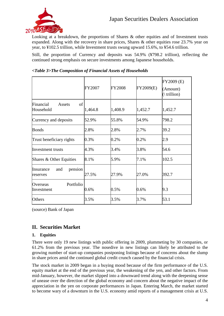

Looking at a breakdown, the proportions of Shares & other equities and of Investment trusts expanded. Along with the recovery in share prices, Shares & other equities rose 23.7% year on year, to ¥102.5 trillion, while Investment trusts swung upward 15.6%, to ¥54.6 trillion.

Still, the proportion of Currency and deposits was 54.9% (¥798.2 trillion), reflecting the continued strong emphasis on secure investments among Japanese households.

|                                         | FY2007  | <b>FY2008</b> | FY2009(E) | FY2009 (E)<br>(Amount)<br>$(\int \{trillion})$ |
|-----------------------------------------|---------|---------------|-----------|------------------------------------------------|
| of<br>Financial<br>Assets<br>Household  | 1,464.8 | 1,408.9       | 1,452.7   | 1,452.7                                        |
| Currency and deposits                   | 52.9%   | 55.8%         | 54.9%     | 798.2                                          |
| <b>Bonds</b>                            | 2.8%    | 2.8%          | 2.7%      | 39.2                                           |
| Trust beneficiary rights                | 0.3%    | 0.2%          | 0.2%      | 2.9                                            |
| <b>Investment</b> trusts                | 4.3%    | 3.4%          | 3.8%      | 54.6                                           |
| Shares & Other Equities                 | 8.1%    | 5.9%          | 7.1%      | 102.5                                          |
| pension<br>Insurance<br>and<br>reserves | 27.5%   | 27.9%         | 27.0%     | 392.7                                          |
| Portfolio<br>Overseas<br>Investment     | $0.6\%$ | 0.5%          | $0.6\%$   | 9.3                                            |
| Others                                  | 3.5%    | 3.5%          | 3.7%      | 53.1                                           |

(source) Bank of Japan

# **II. Securities Market**

# **1. Equities**

There were only 19 new listings with public offering in 2009, plummeting by 30 companies, or 61.2% from the previous year. The nosedive in new listings can likely be attributed to the growing number of start-up companies postponing listings because of concerns about the slump in share prices amid the continued global credit crunch caused by the financial crisis.

The stock market in 2009 began in a buying mood because of the firm performance of the U.S. equity market at the end of the previous year, the weakening of the yen, and other factors. From mid-January, however, the market slipped into a downward trend along with the deepening sense of unease over the direction of the global economy and concern about the negative impact of the appreciation in the yen on corporate performances in Japan. Entering March, the market started to become wary of a downturn in the U.S. economy amid reports of a management crisis at U.S.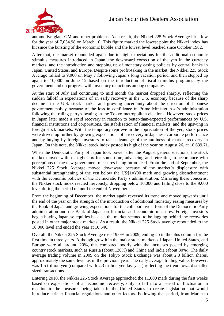

automotive giant GM and other problems. As a result, the Nikkei 225 Stock Average hit a low for the year of 7,054.98 on March 10. This figure marked the lowest point the Nikkei index has hit since the bursting of the economic bubble and the lowest level reached since October 1982.

After that, the market rebounded again due to high expectations for the additional economic stimulus measures introduced in Japan, the downward correction of the yen in the currency markets, and the introduction and stepping up of monetary easing policies by central banks in Japan, United States, and Europe. Despite some profit-taking in the market, the Nikkei 225 Stock Average rallied to 9,000 on May 7 following Japan's long vacation period, and then stepped up again to 10,000 on June 12 based on the introduction of fiscal stimulus programs by the government and on progress with inventory reductions among companies.

At the start of July and continuing to mid month the market dropped sharply, reflecting the sudden falloff in expectations of an early recovery in the U.S. economy because of the sharp decline in the U.S. stock market and growing uncertainty about the direction of Japanese government policy because of the loss in confidence in Prime Minister Aso's administration following the ruling party's beating in the Tokyo metropolitan elections. However, stock prices in Japan later made a rapid recovery in reaction to better-than-expected performances by U.S. financial institutions and corporations, the stabilization of financial markets, and the upswing in foreign stock markets. With the temporary reprieve in the appreciation of the yen, stock prices were driven up further by growing expectations of a recovery in Japanese corporate performance and by buying by foreign investors to take advantage of the tardiness of market recovery in Japan. On this note, the Nikkei stock index posted its high of the year on August 26, at 10,639.71.

When the Democratic Party of Japan took power after the August general elections, the stock market moved within a tight box for some time, advancing and retreating in accordance with perceptions of the new government measures being introduced. From the end of September, the Nikkei 225 Stock Average moved downward because of the market's displeasure with substantial strengthening of the yen below the  $US$1=$490$  mark and growing disenchantment with the economic policies of the Democratic Party's administration. Mirroring these concerns, the Nikkei stock index reacted nervously, dropping below 10,000 and falling close to the 9,000 level during the period up until the end of November.

From the beginning of December, the market again reversed its trend and moved upwards until the end of the year on the strength of the introduction of additional monetary easing measures by the Bank of Japan and growing expectations for the collaborative efforts of the Democratic Party administration and the Bank of Japan on financial and economic measures. Foreign investors began buying Japanese equities because the market seemed to be lagging behind the recoveries posted in other major stock markets. As a result, the Nikkei 225 Stock average rebounded to the 10,000 level and ended the year at 10,546.

Overall, the Nikkei 225 Stock Average rose 19.0% in 2009, ending up in the plus column for the first time in three years. Although growth in the major stock markets of Japan, United States, and Europe were all around 20%, this compared poorly with the increases posted by emerging country stock markets, such as Russia (about 130%) and China and India (about 80%). The daily average trading volume in 2009 on the Tokyo Stock Exchange was about 2.3 billion shares, approximately the same level as in the previous year. The daily average trading value, however, was 1.5 trillion yen (compared with 2.3 trillion yen last year) reflecting the trend toward smaller sized transactions.

Entering 2010, the Nikkei 225 Stock Average approached the 11,000 mark during the first weeks based on expectations of an economic recovery, only to fall into a period of fluctuation in reaction to the measures being taken in the United States to create legislation that would introduce stricter financial regulations and other factors. Following that period, from March to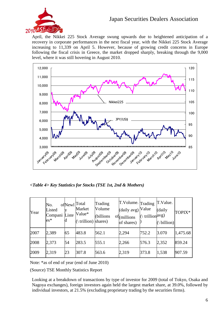



April, the Nikkei 225 Stock Average swung upwards due to heightened anticipation of a recovery in corporate performances in the next fiscal year, with the Nikkei 225 Stock Average increasing to 11,339 on April 5. However, because of growing credit concerns in Europe following the fiscal crisis in Greece, the market dropped sharply, breaking through the 9,000 level, where it was still hovering in August 2010.



*<Table 4> Key Statistics for Stocks (TSE 1st, 2nd & Mothers)*

| Year | No.<br>Listed<br>Compani<br>$es*$ | Liste<br>d | ofNewl Total<br>Market<br>Value*<br>$(\xi)$ trillion) shares) | Trading<br>Volume<br>(billions) | T.Volume. Trading<br>$\langle$ (daily avg) $\langle$ Value<br>$of$ (millions<br>of shares) | trillion <sup>avg)</sup> | T.Value.<br>(daily<br>$(\delta)$ billion) | TOPIX*   |
|------|-----------------------------------|------------|---------------------------------------------------------------|---------------------------------|--------------------------------------------------------------------------------------------|--------------------------|-------------------------------------------|----------|
| 2007 | 2,389                             | 65         | 483.8                                                         | 562.1                           | 2,294                                                                                      | 752.2                    | 3.070                                     | 1,475.68 |
| 2008 | 2,373                             | 54         | 283.5                                                         | 555.1                           | 2,266                                                                                      | 576.3                    | 2,352                                     | 859.24   |
| 2009 | 2,319                             | 23         | 307.8                                                         | 563.6                           | 2,319                                                                                      | 373.8                    | 1,538                                     | 907.59   |

Note: \*as of end of year (end of June 2010)

(Source) TSE Monthly Statistics Report

Looking at a breakdown of transactions by type of investor for 2009 (total of Tokyo, Osaka and Nagoya exchanges), foreign investors again held the largest market share, at 39.0%, followed by individual investors, at 21.5% (excluding proprietary trading by the securities firms).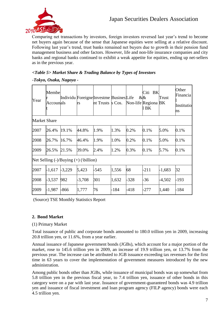

Comparing net transactions by investors, foreign investors reversed last year's trend to become net buyers again because of the sense that Japanese equities were selling at a relative discount. Following last year's trend, trust banks remained net buyers due to growth in their pension fund management business and other factors. However, life and non-life insurance companies and city banks and regional banks continued to exhibit a weak appetite for equities, ending up net-sellers as in the previous year.

# *<Table 5> Market Share & Trading Balance by Types of Investors*

### *-Tokyo, Osaka, Nagoya -*

| Year                                                                                    | Membe<br>Accounals |          | rs       | Individu Foreigne Investme Busines Life<br>nt Trusts s Cos. |        | Non-life Regiona BK | Citi BK<br>$&\&\&$<br>1 BK | Trust    | Other<br>Financia<br>Institutio<br>ns |  |
|-----------------------------------------------------------------------------------------|--------------------|----------|----------|-------------------------------------------------------------|--------|---------------------|----------------------------|----------|---------------------------------------|--|
| <b>Market Share</b>                                                                     |                    |          |          |                                                             |        |                     |                            |          |                                       |  |
| 2007                                                                                    | 26.4%              | 19.1%    | 44.8%    | 1.9%                                                        | 1.3%   | 0.2%                | 0.1%                       | 5.0%     | 0.1%                                  |  |
| 2008                                                                                    | 26.7%              | 16.7%    | 46.4%    | 1.9%                                                        | 1.0%   | 0.2%                | 0.1%                       | 5.0%     | 0.1%                                  |  |
| 2009                                                                                    | 26.5%              | 21.5%    | 39.0%    | 2.4%                                                        | 1.2%   | 0.3%                | 0.1%                       | 5.7%     | 0.1%                                  |  |
| Net Selling $\left(\frac{-}{\text{Buying}}\left(\frac{+}{\text{billion}}\right)\right)$ |                    |          |          |                                                             |        |                     |                            |          |                                       |  |
| 2007                                                                                    | $-1,617$           | $-3,229$ | 5,423    | -545                                                        | 1,556  | 68                  | $-211$                     | $-1,683$ | 32                                    |  |
| 2008                                                                                    | $-3,537$           | 982      | $-3,708$ | 301                                                         | 1,632  | $-328$              | $-36$                      | $-4,502$ | -193                                  |  |
| 2009                                                                                    | $-1,987$           | -866     | 1,777    | 76                                                          | $-184$ | -418                | -277                       | 1,440    | $-184$                                |  |

(Source) TSE Monthly Statistics Report

# **2. Bond Market**

# (1) Primary Market

Total issuance of public and corporate bonds amounted to 180.0 trillion yen in 2009, increasing 20.8 trillion yen, or 11.6%, from a year earlier.

Annual issuance of Japanese government bonds (JGBs), which account for a major portion of the market, rose to 145.6 trillion yen in 2009, an increase of 19.9 trillion yen, or 13.7% from the previous year. The increase can be attributed to JGB issuance exceeding tax revenues for the first time in 63 years to cover the implementation of government measures introduced by the new administration.

Among public bonds other than JGBs, while issuance of municipal bonds was up somewhat from 5.8 trillion yen in the previous fiscal year, to 7.4 trillion yen, issuance of other bonds in this category were on a par with last year. Issuance of government-guaranteed bonds was 4.9 trillion yen and issuance of fiscal investment and loan program agency (FILP agency) bonds were each 4.5 trillion yen.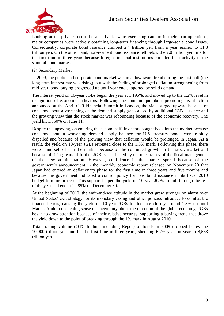

Looking at the private sector, because banks were exercising caution in their loan operations, major companies were actively obtaining long-term financing through large-scale bond issues. Consequently, corporate bond issuance climbed 2.4 trillion yen from a year earlier, to 11.3 trillion yen. On the other hand, non-resident bond issuance fell below the 2.0 trillion yen line for the first time in three years because foreign financial institutions curtailed their activity in the samurai bond market.

#### (2) Secondary Market

In 2009, the public and corporate bond market was in a downward trend during the first half (the long-term interest rate was rising), but with the feeling of prolonged deflation strengthening from mid-year, bond buying progressed up until year end supported by solid demand.

The interest yield on 10-year JGBs began the year at 1.195%, and moved up to the 1.2% level in recognition of economic indicators. Following the communiqué about promoting fiscal action announced at the April G20 Financial Summit in London, the yield surged upward because of concerns about a worsening of the demand-supply gap caused by additional JGB issuance and the growing view that the stock market was rebounding because of the economic recovery. The yield hit 1.550% on June 11.

Despite this upswing, on entering the second half, investors bought back into the market because concerns about a worsening demand-supply balance for U.S. treasury bonds were rapidly dispelled and because of the growing view that deflation would be prolonged in Japan. As a result, the yield on 10-year JGBs retreated close to the 1.3% mark. Following this phase, there were some sell offs in the market because of the continued growth in the stock market and because of rising fears of further JGB issues fueled by the uncertainty of the fiscal management of the new administration. However, confidence in the market spread because of the government's announcement in the monthly economic report released on November 20 that Japan had entered an deflationary phase for the first time in three years and five months and because the government indicated a control policy for new bond issuance in its fiscal 2010 budget forming process. This support helped the yield on 10-year JGBs to pull through the rest of the year and end at 1.285% on December 30.

At the beginning of 2010, the wait-and-see attitude in the market grew stronger on alarm over United States' exit strategy for its monetary easing and other policies introduce to combat the financial crisis, causing the yield on 10-year JGBs to fluctuate closely around 1.3% up until March. Amid a deepening sense of uncertainty about the direction of the global economy, JGBs began to draw attention because of their relative security, supporting a buying trend that drove the yield down to the point of breaking through the 1% mark in August 2010.

Total trading volume (OTC trading, including Repos) of bonds in 2009 dropped below the 10,000 trillion yen line for the first time in three years, shedding 6.7% year on year to 8,563 trillion yen.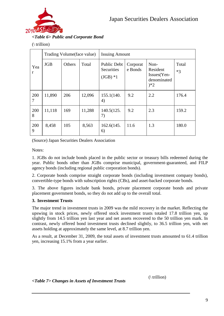

#### *<Table 6> Public and Corporate Bond*

 $(\int \{ trillion})$ 

| Yea<br>r |            | Trading Volume (face value) |        | <b>Issuing Amount</b>                  |                     |                                                         |               |  |  |  |
|----------|------------|-----------------------------|--------|----------------------------------------|---------------------|---------------------------------------------------------|---------------|--|--|--|
|          | <b>JGB</b> | Others                      | Total  | Public Debt<br>Securities<br>$(JGB)*1$ | Corporat<br>e Bonds | Non-<br>Resident<br>Issues(Yen-<br>denominated<br>$)*2$ | Total<br>$*3$ |  |  |  |
| 200<br>7 | 11,890     | 206                         | 12,096 | 155.1(140.<br>4)                       | 9.2                 | 2.2                                                     | 176.4         |  |  |  |
| 200<br>8 | 11,118     | 169                         | 11,288 | 140.5(125.<br>7)                       | 9.2                 | 2.3                                                     | 159.2         |  |  |  |
| 200<br>9 | 8,458      | 105                         | 8,563  | 162.6(145.<br>6)                       | 11.6                | 1.3                                                     | 180.0         |  |  |  |

(Source) Japan Securities Dealers Association

Notes:

1. JGBs do not include bonds placed in the public sector or treasury bills redeemed during the year. Public bonds other than JGBs comprise municipal, government-guaranteed, and FILP agency bonds (including regional public corporation bonds).

2. Corporate bonds comprise straight corporate bonds (including investment company bonds), convertible-type bonds with subscription rights (CBs), and asset-backed corporate bonds.

3. The above figures include bank bonds, private placement corporate bonds and private placement government bonds, so they do not add up to the overall total.

# **3. Investment Trusts**

The major trend in investment trusts in 2009 was the mild recovery in the market. Reflecting the upswing in stock prices, newly offered stock investment trusts totaled 17.8 trillion yen, up slightly from 14.5 trillion yen last year and net assets recovered to the 50 trillion yen mark. In contrast, newly offered bond investment trusts declined slightly, to 36.5 trillion yen, with net assets holding at approximately the same level, at 8.7 trillion yen.

As a result, at December 31, 2009, the total assets of investment trusts amounted to 61.4 trillion yen, increasing 15.1% from a year earlier.

*<Table 7> Changes in Assets of Investment Trusts*

(\ trillion)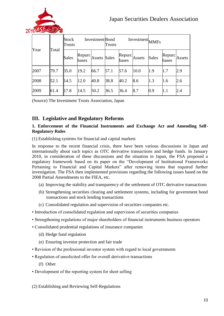

|      |       | <b>Stock</b><br>Trusts | Investment Bond |                     | Trusts | Investment MMFs |        |              |                 |        |  |
|------|-------|------------------------|-----------------|---------------------|--------|-----------------|--------|--------------|-----------------|--------|--|
| Year | Total | <b>Sales</b>           | Repurc<br>hases | <b>Assets Sales</b> |        | Repurc<br>hases | Assets | <b>Sales</b> | Repurc<br>hases | Assets |  |
| 2007 | 179.7 | 35.0                   | 19.2            | 66.7                | 57.1   | 57.6            | 10.0   | 1.9          | 1.7             | 2.9    |  |
| 2008 | 152.1 | 14.5                   | 12.0            | 40.8                | 38.8   | 40.2            | 8.6    | 1.3          | 1.6             | 2.6    |  |
| 2009 | 61.4  | 17.8                   | 14.5            | 50.2                | 36.5   | 36.4            | 8.7    | 0.9          | $1.1\,$         | 2.4    |  |

(Source) The Investment Trusts Association, Japan

# **III. Legislative and Regulatory Reforms**

### **1. Enforcement of the Financial Instruments and Exchange Act and Amending Self-Regulatory Rules**

(1) Establishing systems for financial and capital markets

In response to the recent financial crisis, there have been various discussions in Japan and internationally about such topics as OTC derivative transactions and hedge funds. In January 2010, in consideration of these discussions and the situation in Japan, the FSA proposed a regulatory framework based on its paper on the "Development of Institutional Frameworks Pertaining to Financial and Capital Markets" after removing items that required further investigation. The FSA then implemented provisions regarding the following issues based on the 2008 Partial Amendments to the FIEA, etc.

- (a) Improving the stability and transparency of the settlement of OTC derivative transactions
- (b) Strengthening securities clearing and settlement systems, including for government bond transactions and stock lending transactions
- (c) Consolidated regulation and supervision of securities companies etc.
- Introduction of consolidated regulation and supervision of securities companies
- Strengthening regulations of major shareholders of financial instruments business operators
- Consolidated prudential regulations of insurance companies
	- (d) Hedge fund regulation
	- (e) Ensuring investor protection and fair trade
- Revision of the professional investor system with regard to local governments
- Regulation of unsolicited offer for overall derivative transactions
	- (f) Other
- Development of the reporting system for short selling
- (2) Establishing and Reviewing Self-Regulations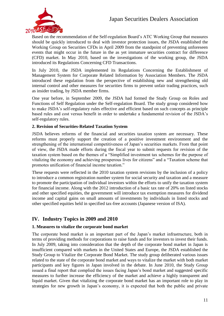

Based on the recommendation of the Self-regulation Board's ATC Working Group that measures should be quickly introduced to deal with investor protection issues, the JSDA established the Working Group on Securities CFDs in April 2009 from the standpoint of preventing unforeseen events that might occur in the future in the as yet immature securities contract for difference (CFD) market. In May 2010, based on the investigations of the working group, the JSDA introduced its Regulations Concerning CFD Transactions.

In July 2010, the JSDA implemented its Regulations Concerning the Establishment of Management System for Corporate Related Information by Association Members. The JSDA introduced these regulation from the perspective of establishing new and strengthening old internal control and other measures for securities firms to prevent unfair trading practices, such as insider trading, by JSDA member firms.

One year before, in September 2009, the JSDA had formed the Study Group on Roles and Functions of Self Regulation under the Self-regulation Board. The study group considered how to make JSDA's self-regulatory rules effective and efficient based on such concepts as principle based rules and cost versus benefit in order to undertake a fundamental revision of the JSDA's self-regulatory rules.

#### **2. Revision of Securities-Related Taxation System**

JSDA believes reforms of the financial and securities taxation system are necessary. These reforms must properly support the creation of a positive investment environment and the strengthening of the international competitiveness of Japan's securities markets. From that point of view, the JSDA made efforts during the fiscal year to submit requests for revision of the taxation system based on the themes of a "Simplified investment tax schemes for the purpose of vitalizing the economy and achieving prosperous lives for citizens" and a "Taxation scheme that promotes unification of financial income taxation."

These requests were reflected in the 2010 taxation system revisions by the inclusion of a policy to introduce a common registration number system for social security and taxation and a measure to promote the participation of individual investors within the efforts to unify the taxation system for financial income. Along with the 2012 introduction of a basic tax rate of 20% on listed stocks and other specified equities, the government will introduce tax exemption measures for dividend income and capital gains on small amounts of investments by individuals in listed stocks and other specified equities held in specified tax-free accounts (Japanese version of ISA).

# **IV. Industry Topics in 2009 and 2010**

# **1. Measures to vitalize the corporate bond market**

The corporate bond market is an important part of the Japan's market infrastructure, both in terms of providing methods for corporations to raise funds and for investors to invest their funds. In July 2009, taking into consideration that the depth of the corporate bond market in Japan is insufficient compared with markets in the United States and Europe, the JSDA established the Study Group to Vitalize the Corporate Bond Market. The study group deliberated various issues related to the state of the corporate bond market and ways to vitalize the market with both market participants and key figures in Japan involved in the debate. In June 2010, the Study Group issued a final report that complied the issues facing Japan's bond market and suggested specific measures to further increase the efficiency of the market and achieve a highly transparent and liquid market. Given that vitalizing the corporate bond market has an important role to play in strategies for new growth in Japan's economy, it is expected that both the public and private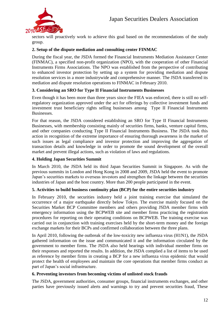

sectors will proactively work to achieve this goal based on the recommendations of the study group.

## **2. Setup of the dispute mediation and consulting center FINMAC**

During the fiscal year, the JSDA formed the Financial Instruments Mediation Assistance Center (FINMAC), a specified non-profit organization (NPO), with the cooperation of other Financial Instruments Firms Associations. The NPO was established from the perspective of contributing to enhanced investor protection by setting up a system for providing mediation and dispute resolution services in a more industrywide and comprehensive manner. The JSDA transferred its mediation and dispute resolution operations to FINMAC in February 2010.

#### **3. Considering an SRO for Type II Financial Instruments Businesses**

Even though it has been more than three years since the FIEA was enforced, there is still no selfregulatory organization approved under the act for offerings by collective investment funds and investment trust beneficiary rights selling businesses among Type II Financial Instruments Businesses.

For that reason, the JSDA considered establishing an SRO for Type II Financial Instruments Businesses, with membership consisting mainly of securities firms, banks, venture capital firms, and other companies conducting Type II Financial Instruments Business. The JSDA took this action in recognition of the extreme importance of ensuring thorough awareness in the market of such issues as legal compliance and investor protection and improving the aggregation of transaction details and knowledge in order to promote the sound development of the overall market and prevent illegal actions, such as violation of laws and regulations.

#### **4. Holding Japan Securities Summit**

In March 2010, the JSDA held its third Japan Securities Summit in Singapore. As with the previous summits in London and Hong Kong in 2008 and 2009, JSDA held the event to promote Japan's securities markets to overseas investors and strengthen the linkage between the securities industries of Japan and the host country. More than 200 people participated in the event.

#### **5. Activities to build business continuity plan (BCP) for the entire securities industry**

In February 2010, the securities industry held a joint training exercise that simulated the occurrence of a major earthquake directly below Tokyo. The exercise mainly focused on the Securities Market BCP Committee members and others providing JSDA member firms with emergency information using the BCPWEB site and member firms practicing the registration procedures for reporting on their operating conditions on BCPWEB. The training exercise was carried out in conjunction with training exercises held by the short-term money and the foreign exchange markets for their BCPs and confirmed collaboration between the three plans.

In April 2010, following the outbreak of the low-toxicity new influenza virus (H1N1), the JSDA gathered information on the issue and communicated it and the information circulated by the government to member firms. The JSDA also held hearings with individual member firms on their responses and reported the results. In addition, the JSDA complied a list of items to be used as reference by member firms in creating a BCP for a new influenza virus epidemic that would protect the health of employees and maintain the core operations that member firms conduct as part of Japan's social infrastructure.

#### **6. Preventing investors from becoming victims of unlisted stock frauds**

The JSDA, government authorities, consumer groups, financial instruments exchanges, and other parties have previously issued alerts and warnings to try and prevent securities fraud, These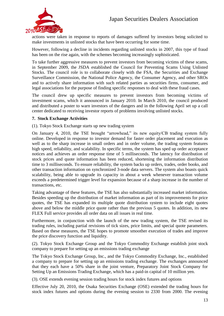

actions were taken in response to reports of damages suffered by investors being solicited to make investments in unlisted stocks that have been occurring for some time.

However, following a decline in incidents regarding unlisted stocks in 2007, this type of fraud has been on the rise again, with the schemes becoming increasingly sophisticated.

To take further aggressive measures to prevent investors from becoming victims of these scams, in September 2009, the JSDA established the Council for Preventing Scams Using Unlisted Stocks. The council role is to collaborate closely with the FSA, the Securities and Exchange Surveillance Commission, the National Police Agency, the Consumer Agency, and other SROs and to actively share information with such related parties as securities firms, consumer, and legal associations for the purpose of finding specific responses to deal with these fraud cases.

The council drew up specific measures to prevent investors from becoming victims of investment scams, which it announced in January 2010. In March 2010, the council produced and distributed a poster to warn investors of the dangers and in the following April set up a call center dedicated to receiving investor reports of problems involving unlisted stocks.

#### **7. Stock Exchange Activities**

(1). Tokyo Stock Exchange starts up new trading system

On January 4, 2010, the TSE brought "arrowhead," its new equity/CB trading system fully online. Developed in response to investor demand for faster order placement and execution as well as to the sharp increase in small orders and in order volume, the trading system features high speed, reliability, and scalability. In specific terms, the system has sped up order acceptance notices and achieves an order response time of 5 milliseconds. The latency for distribution of stock prices and quote information has been reduced, shortening the information distribution time to 3 milliseconds. To ensure reliability, the system backs up orders, trades, order books, and other transaction information on synchronized 3-node data servers. The system also boasts quick scalability, being able to upgrade its capacity in about a week whenever transaction volume exceeds a predetermined trigger level for expansion because of a sharp increase in the number of transactions, etc.

Taking advantage of these features, the TSE has also substantially increased market information. Besides speeding up the distribution of market information as part of its improvements for price quotes, the TSE has expanded its multiple quote distribution system to include eight quotes above and below the middle price quote rather than the previous 5 quotes. In addition, its new FLEX Full service provides all order data on all issues in real time.

Furthermore, in conjunction with the launch of the new trading system, the TSE revised its trading rules, including partial revisions of tick sizes, price limits, and special quote parameters. Based on these measures, the TSE hopes to promote smoother execution of trades and improve the price discovery function and liquidity.

(2). Tokyo Stock Exchange Group and the Tokyo Commodity Exchange establish joint stock company to prepare for setting up an emissions trading exchange

The Tokyo Stock Exchange Group, Inc., and the Tokyo Commodity Exchange, Inc., established a company to prepare for setting up an emissions trading exchange. The exchanges announced that they each have a 50% share in the joint venture, Preparatory Joint Stock Company for Setting Up an Emissions Trading Exchange, which has a paid-in capital of 10 million yen.

(3). OSE extends evening session trading hours for stock index futures and options

Effective July 20, 2010, the Osaka Securities Exchange (OSE) extended the trading hours for stock index futures and options during the evening session to 2330 from 2000. The evening